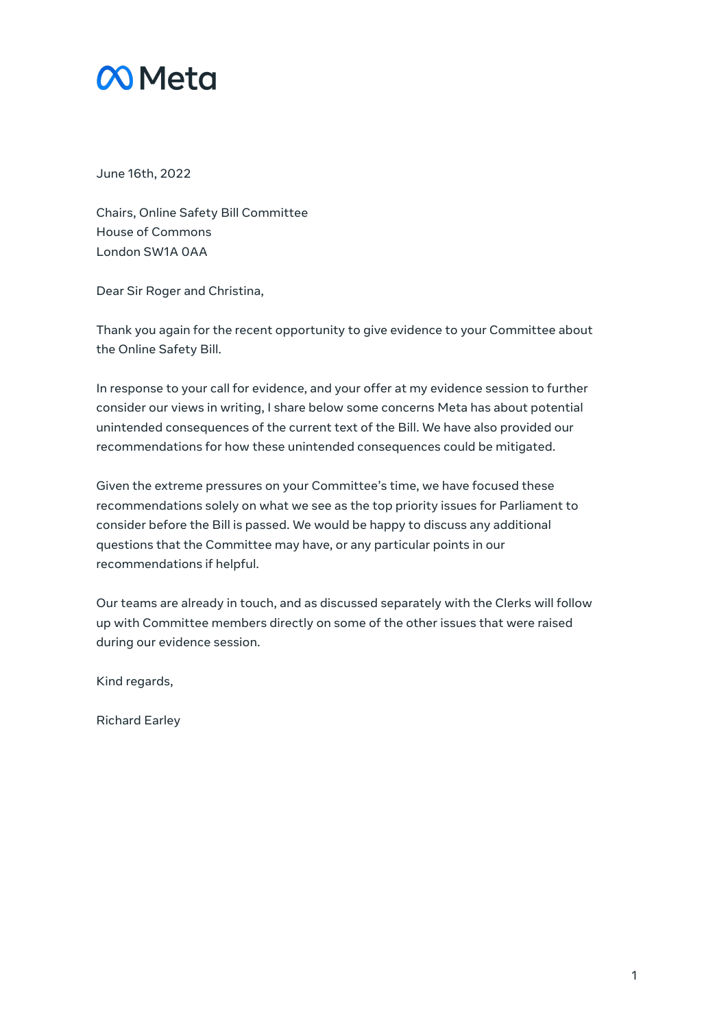

June 16th, 2022

Chairs, Online Safety Bill Committee House of Commons London SW1A 0AA

Dear Sir Roger and Christina,

Thank you again for the recent opportunity to give evidence to your Committee about the Online Safety Bill.

In response to your call for evidence, and your offer at my evidence session to further consider our views in writing, I share below some concerns Meta has about potential unintended consequences of the current text of the Bill. We have also provided our recommendations for how these unintended consequences could be mitigated.

Given the extreme pressures on your Committee's time, we have focused these recommendations solely on what we see as the top priority issues for Parliament to consider before the Bill is passed. We would be happy to discuss any additional questions that the Committee may have, or any particular points in our recommendations if helpful.

Our teams are already in touch, and as discussed separately with the Clerks will follow up with Committee members directly on some of the other issues that were raised during our evidence session.

Kind regards,

Richard Earley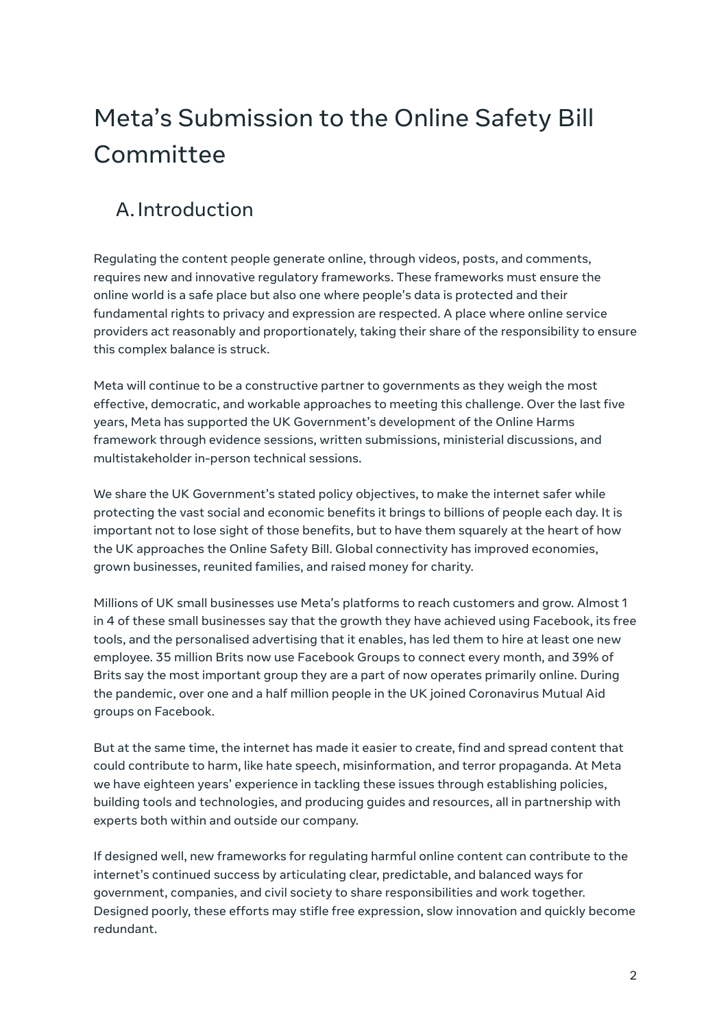# Meta's Submission to the Online Safety Bill Committee

# A.Introduction

Regulating the content people generate online, through videos, posts, and comments, requires new and innovative regulatory frameworks. These frameworks must ensure the online world is a safe place but also one where people's data is protected and their fundamental rights to privacy and expression are respected. A place where online service providers act reasonably and proportionately, taking their share of the responsibility to ensure this complex balance is struck.

Meta will continue to be a constructive partner to governments as they weigh the most effective, democratic, and workable approaches to meeting this challenge. Over the last five years, Meta has supported the UK Government's development of the Online Harms framework through evidence sessions, written submissions, ministerial discussions, and multistakeholder in-person technical sessions.

We share the UK Government's stated policy objectives, to make the internet safer while protecting the vast social and economic benefits it brings to billions of people each day. It is important not to lose sight of those benefits, but to have them squarely at the heart of how the UK approaches the Online Safety Bill. Global connectivity has improved economies, grown businesses, reunited families, and raised money for charity.

Millions of UK small businesses use Meta's platforms to reach customers and grow. Almost 1 in 4 of these small businesses say that the growth they have achieved using Facebook, its free tools, and the personalised advertising that it enables, has led them to hire at least one new employee. 35 million Brits now use Facebook Groups to connect every month, and 39% of Brits say the most important group they are a part of now operates primarily online. During the pandemic, over one and a half million people in the UK joined Coronavirus Mutual Aid groups on Facebook.

But at the same time, the internet has made it easier to create, find and spread content that could contribute to harm, like hate speech, misinformation, and terror propaganda. At Meta we have eighteen years' experience in tackling these issues through establishing policies, building tools and technologies, and producing guides and resources, all in partnership with experts both within and outside our company.

If designed well, new frameworks for regulating harmful online content can contribute to the internet's continued success by articulating clear, predictable, and balanced ways for government, companies, and civil society to share responsibilities and work together. Designed poorly, these efforts may stifle free expression, slow innovation and quickly become redundant.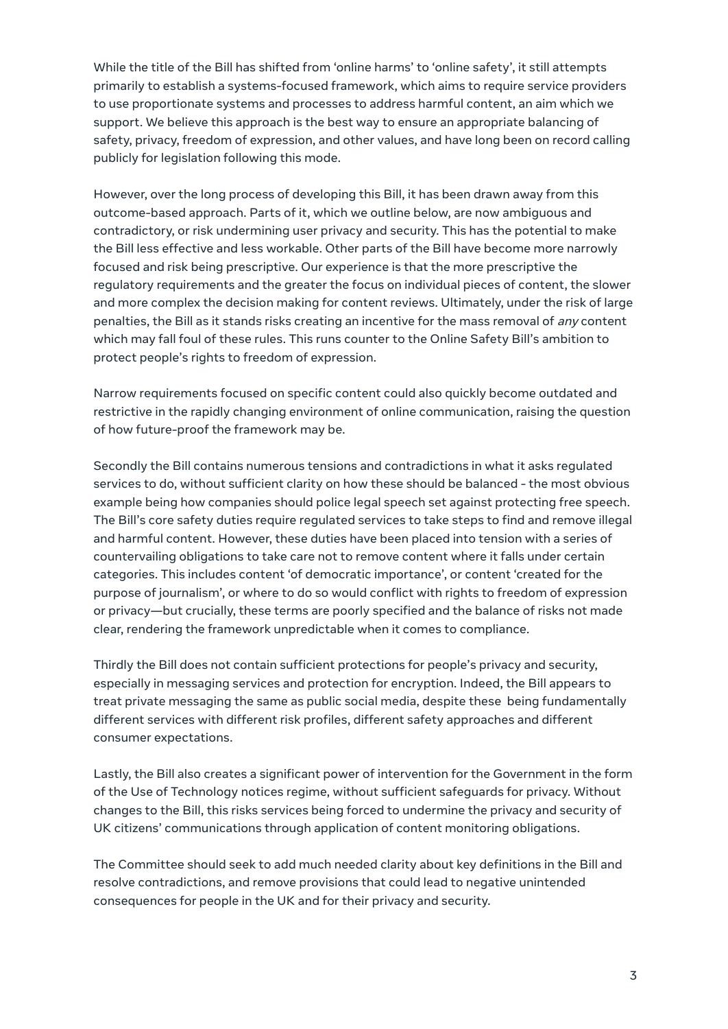While the title of the Bill has shifted from 'online harms' to 'online safety', it still attempts primarily to establish a systems-focused framework, which aims to require service providers to use proportionate systems and processes to address harmful content, an aim which we support. We believe this approach is the best way to ensure an appropriate balancing of safety, privacy, freedom of expression, and other values, and have long been on record calling publicly for legislation following this mode.

However, over the long process of developing this Bill, it has been drawn away from this outcome-based approach. Parts of it, which we outline below, are now ambiguous and contradictory, or risk undermining user privacy and security. This has the potential to make the Bill less effective and less workable. Other parts of the Bill have become more narrowly focused and risk being prescriptive. Our experience is that the more prescriptive the regulatory requirements and the greater the focus on individual pieces of content, the slower and more complex the decision making for content reviews. Ultimately, under the risk of large penalties, the Bill as it stands risks creating an incentive for the mass removal of any content which may fall foul of these rules. This runs counter to the Online Safety Bill's ambition to protect people's rights to freedom of expression.

Narrow requirements focused on specific content could also quickly become outdated and restrictive in the rapidly changing environment of online communication, raising the question of how future-proof the framework may be.

Secondly the Bill contains numerous tensions and contradictions in what it asks regulated services to do, without sufficient clarity on how these should be balanced - the most obvious example being how companies should police legal speech set against protecting free speech. The Bill's core safety duties require regulated services to take steps to find and remove illegal and harmful content. However, these duties have been placed into tension with a series of countervailing obligations to take care not to remove content where it falls under certain categories. This includes content 'of democratic importance', or content 'created for the purpose of journalism', or where to do so would conflict with rights to freedom of expression or privacy—but crucially, these terms are poorly specified and the balance of risks not made clear, rendering the framework unpredictable when it comes to compliance.

Thirdly the Bill does not contain sufficient protections for people's privacy and security, especially in messaging services and protection for encryption. Indeed, the Bill appears to treat private messaging the same as public social media, despite these being fundamentally different services with different risk profiles, different safety approaches and different consumer expectations.

Lastly, the Bill also creates a significant power of intervention for the Government in the form of the Use of Technology notices regime, without sufficient safeguards for privacy. Without changes to the Bill, this risks services being forced to undermine the privacy and security of UK citizens' communications through application of content monitoring obligations.

The Committee should seek to add much needed clarity about key definitions in the Bill and resolve contradictions, and remove provisions that could lead to negative unintended consequences for people in the UK and for their privacy and security.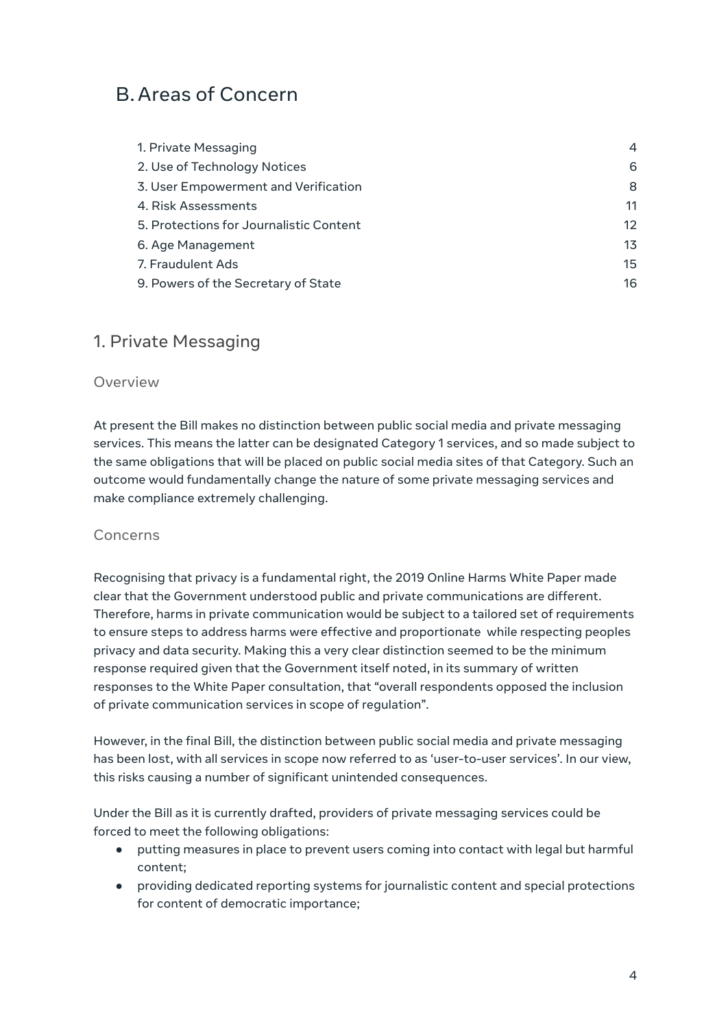# B.Areas of Concern

| 1. Private Messaging                    | 4                 |
|-----------------------------------------|-------------------|
| 2. Use of Technology Notices            | 6                 |
| 3. User Empowerment and Verification    | 8                 |
| 4. Risk Assessments                     | 11                |
| 5. Protections for Journalistic Content | $12 \overline{ }$ |
| 6. Age Management                       | 13                |
| 7. Fraudulent Ads                       | 15                |
| 9. Powers of the Secretary of State     | 16                |

### <span id="page-3-0"></span>1. Private Messaging

#### Overview

At present the Bill makes no distinction between public social media and private messaging services. This means the latter can be designated Category 1 services, and so made subject to the same obligations that will be placed on public social media sites of that Category. Such an outcome would fundamentally change the nature of some private messaging services and make compliance extremely challenging.

#### Concerns

Recognising that privacy is a fundamental right, the 2019 Online Harms White Paper made clear that the Government understood public and private communications are different. Therefore, harms in private communication would be subject to a tailored set of requirements to ensure steps to address harms were effective and proportionate while respecting peoples privacy and data security. Making this a very clear distinction seemed to be the minimum response required given that the Government itself noted, in its summary of written responses to the White Paper consultation, that "overall respondents opposed the inclusion of private communication services in scope of regulation".

However, in the final Bill, the distinction between public social media and private messaging has been lost, with all services in scope now referred to as 'user-to-user services'. In our view, this risks causing a number of significant unintended consequences.

Under the Bill as it is currently drafted, providers of private messaging services could be forced to meet the following obligations:

- putting measures in place to prevent users coming into contact with legal but harmful content;
- providing dedicated reporting systems for journalistic content and special protections for content of democratic importance;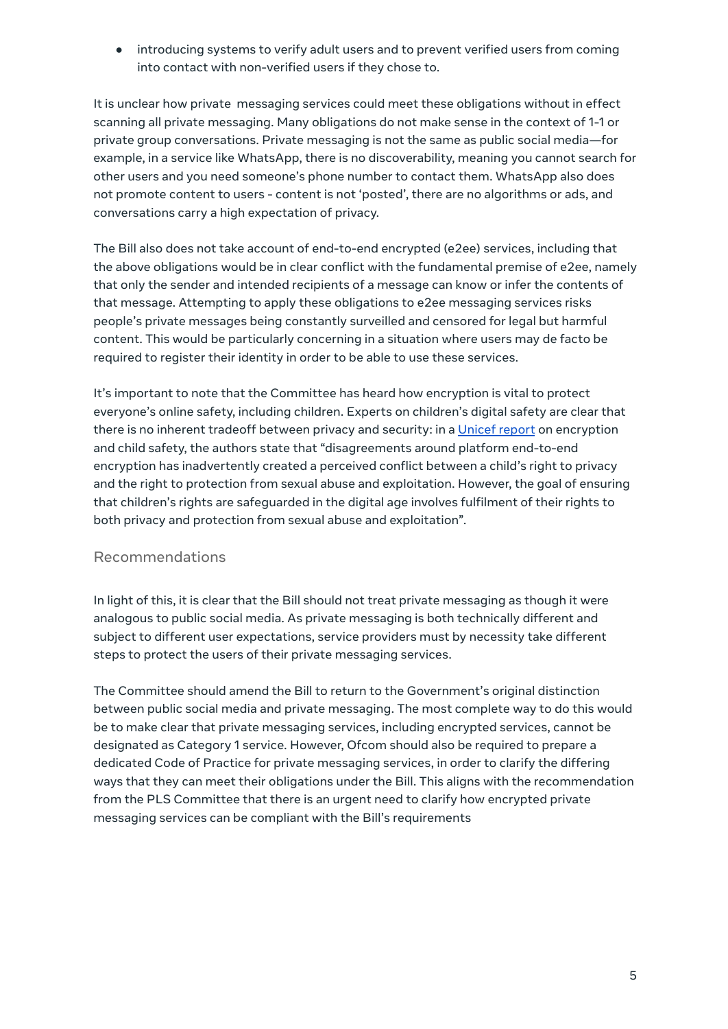● introducing systems to verify adult users and to prevent verified users from coming into contact with non-verified users if they chose to.

It is unclear how private messaging services could meet these obligations without in effect scanning all private messaging. Many obligations do not make sense in the context of 1-1 or private group conversations. Private messaging is not the same as public social media—for example, in a service like WhatsApp, there is no discoverability, meaning you cannot search for other users and you need someone's phone number to contact them. WhatsApp also does not promote content to users - content is not 'posted', there are no algorithms or ads, and conversations carry a high expectation of privacy.

The Bill also does not take account of end-to-end encrypted (e2ee) services, including that the above obligations would be in clear conflict with the fundamental premise of e2ee, namely that only the sender and intended recipients of a message can know or infer the contents of that message. Attempting to apply these obligations to e2ee messaging services risks people's private messages being constantly surveilled and censored for legal but harmful content. This would be particularly concerning in a situation where users may de facto be required to register their identity in order to be able to use these services.

It's important to note that the Committee has heard how encryption is vital to protect everyone's online safety, including children. Experts on children's digital safety are clear that there is no inherent tradeoff between privacy and security: in a [Unicef](https://www.unicef-irc.org/publications/pdf/Encryption_privacy_and_children%E2%80%99s_right_to_protection_from_harm.pdf) report on encryption and child safety, the authors state that "disagreements around platform end-to-end encryption has inadvertently created a perceived conflict between a child's right to privacy and the right to protection from sexual abuse and exploitation. However, the goal of ensuring that children's rights are safeguarded in the digital age involves fulfilment of their rights to both privacy and protection from sexual abuse and exploitation".

#### Recommendations

In light of this, it is clear that the Bill should not treat private messaging as though it were analogous to public social media. As private messaging is both technically different and subject to different user expectations, service providers must by necessity take different steps to protect the users of their private messaging services.

The Committee should amend the Bill to return to the Government's original distinction between public social media and private messaging. The most complete way to do this would be to make clear that private messaging services, including encrypted services, cannot be designated as Category 1 service. However, Ofcom should also be required to prepare a dedicated Code of Practice for private messaging services, in order to clarify the differing ways that they can meet their obligations under the Bill. This aligns with the recommendation from the PLS Committee that there is an urgent need to clarify how encrypted private messaging services can be compliant with the Bill's requirements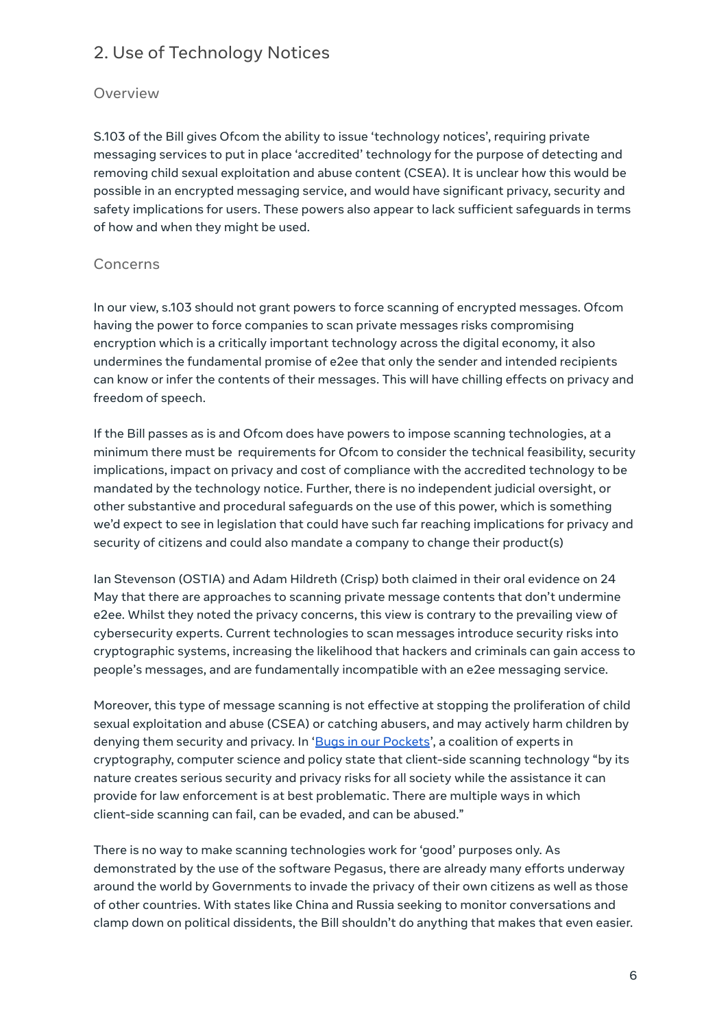# <span id="page-5-0"></span>2. Use of Technology Notices

#### Overview

S.103 of the Bill gives Ofcom the ability to issue 'technology notices', requiring private messaging services to put in place 'accredited' technology for the purpose of detecting and removing child sexual exploitation and abuse content (CSEA). It is unclear how this would be possible in an encrypted messaging service, and would have significant privacy, security and safety implications for users. These powers also appear to lack sufficient safeguards in terms of how and when they might be used.

#### Concerns

In our view, s.103 should not grant powers to force scanning of encrypted messages. Ofcom having the power to force companies to scan private messages risks compromising encryption which is a critically important technology across the digital economy, it also undermines the fundamental promise of e2ee that only the sender and intended recipients can know or infer the contents of their messages. This will have chilling effects on privacy and freedom of speech.

If the Bill passes as is and Ofcom does have powers to impose scanning technologies, at a minimum there must be requirements for Ofcom to consider the technical feasibility, security implications, impact on privacy and cost of compliance with the accredited technology to be mandated by the technology notice. Further, there is no independent judicial oversight, or other substantive and procedural safeguards on the use of this power, which is something we'd expect to see in legislation that could have such far reaching implications for privacy and security of citizens and could also mandate a company to change their product(s)

Ian Stevenson (OSTIA) and Adam Hildreth (Crisp) both claimed in their oral evidence on 24 May that there are approaches to scanning private message contents that don't undermine e2ee. Whilst they noted the privacy concerns, this view is contrary to the prevailing view of cybersecurity experts. Current technologies to scan messages introduce security risks into cryptographic systems, increasing the likelihood that hackers and criminals can gain access to people's messages, and are fundamentally incompatible with an e2ee messaging service.

Moreover, this type of message scanning is not effective at stopping the proliferation of child sexual exploitation and abuse (CSEA) or catching abusers, and may actively harm children by denying them security and privacy. In 'Bugs in our [Pockets](https://arxiv.org/abs/2110.07450)', a coalition of experts in cryptography, computer science and policy state that client-side scanning technology "by its nature creates serious security and privacy risks for all society while the assistance it can provide for law enforcement is at best problematic. There are multiple ways in which client-side scanning can fail, can be evaded, and can be abused."

There is no way to make scanning technologies work for 'good' purposes only. As demonstrated by the use of the software Pegasus, there are already many efforts underway around the world by Governments to invade the privacy of their own citizens as well as those of other countries. With states like China and Russia seeking to monitor conversations and clamp down on political dissidents, the Bill shouldn't do anything that makes that even easier.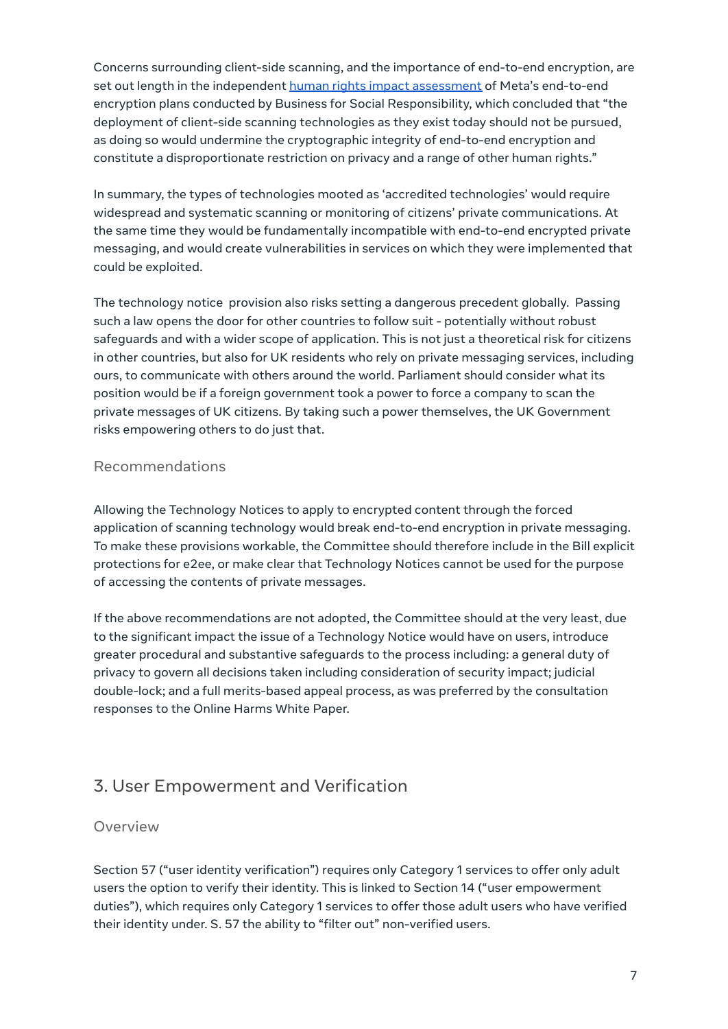Concerns surrounding client-side scanning, and the importance of end-to-end encryption, are set out length in the independent human rights impact [assessment](https://www.bsr.org/en/our-insights/blog-view/human-rights-assessment-of-metas-expansion-of-end-to-end-encryption) of Meta's end-to-end encryption plans conducted by Business for Social Responsibility, which concluded that "the deployment of client-side scanning technologies as they exist today should not be pursued, as doing so would undermine the cryptographic integrity of end-to-end encryption and constitute a disproportionate restriction on privacy and a range of other human rights."

In summary, the types of technologies mooted as 'accredited technologies' would require widespread and systematic scanning or monitoring of citizens' private communications. At the same time they would be fundamentally incompatible with end-to-end encrypted private messaging, and would create vulnerabilities in services on which they were implemented that could be exploited.

The technology notice provision also risks setting a dangerous precedent globally. Passing such a law opens the door for other countries to follow suit - potentially without robust safeguards and with a wider scope of application. This is not just a theoretical risk for citizens in other countries, but also for UK residents who rely on private messaging services, including ours, to communicate with others around the world. Parliament should consider what its position would be if a foreign government took a power to force a company to scan the private messages of UK citizens. By taking such a power themselves, the UK Government risks empowering others to do just that.

#### Recommendations

Allowing the Technology Notices to apply to encrypted content through the forced application of scanning technology would break end-to-end encryption in private messaging. To make these provisions workable, the Committee should therefore include in the Bill explicit protections for e2ee, or make clear that Technology Notices cannot be used for the purpose of accessing the contents of private messages.

If the above recommendations are not adopted, the Committee should at the very least, due to the significant impact the issue of a Technology Notice would have on users, introduce greater procedural and substantive safeguards to the process including: a general duty of privacy to govern all decisions taken including consideration of security impact; judicial double-lock; and a full merits-based appeal process, as was preferred by the consultation responses to the Online Harms White Paper.

# <span id="page-6-0"></span>3. User Empowerment and Verification

#### Overview

Section 57 ("user identity verification") requires only Category 1 services to offer only adult users the option to verify their identity. This is linked to Section 14 ("user empowerment duties"), which requires only Category 1 services to offer those adult users who have verified their identity under. S. 57 the ability to "filter out" non-verified users.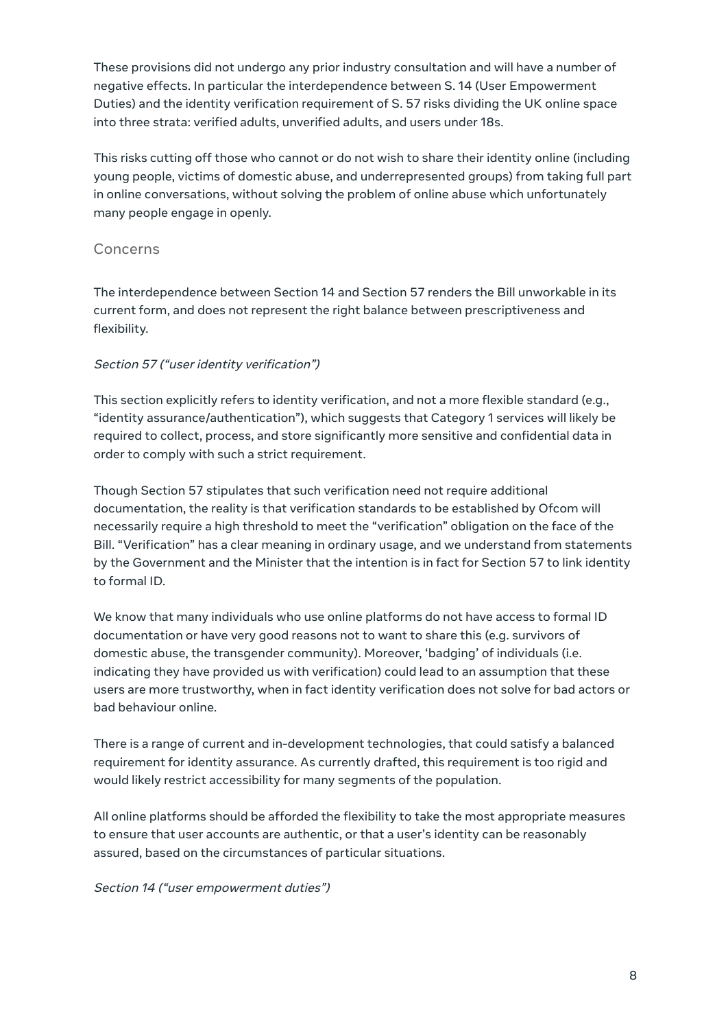These provisions did not undergo any prior industry consultation and will have a number of negative effects. In particular the interdependence between S. 14 (User Empowerment Duties) and the identity verification requirement of S. 57 risks dividing the UK online space into three strata: verified adults, unverified adults, and users under 18s.

This risks cutting off those who cannot or do not wish to share their identity online (including young people, victims of domestic abuse, and underrepresented groups) from taking full part in online conversations, without solving the problem of online abuse which unfortunately many people engage in openly.

#### Concerns

The interdependence between Section 14 and Section 57 renders the Bill unworkable in its current form, and does not represent the right balance between prescriptiveness and flexibility.

#### Section 57 ("user identity verification")

This section explicitly refers to identity verification, and not a more flexible standard (e.g., "identity assurance/authentication"), which suggests that Category 1 services will likely be required to collect, process, and store significantly more sensitive and confidential data in order to comply with such a strict requirement.

Though Section 57 stipulates that such verification need not require additional documentation, the reality is that verification standards to be established by Ofcom will necessarily require a high threshold to meet the "verification" obligation on the face of the Bill. "Verification" has a clear meaning in ordinary usage, and we understand from statements by the Government and the Minister that the intention is in fact for Section 57 to link identity to formal ID.

We know that many individuals who use online platforms do not have access to formal ID documentation or have very good reasons not to want to share this (e.g. survivors of domestic abuse, the transgender community). Moreover, 'badging' of individuals (i.e. indicating they have provided us with verification) could lead to an assumption that these users are more trustworthy, when in fact identity verification does not solve for bad actors or bad behaviour online.

There is a range of current and in-development technologies, that could satisfy a balanced requirement for identity assurance. As currently drafted, this requirement is too rigid and would likely restrict accessibility for many segments of the population.

All online platforms should be afforded the flexibility to take the most appropriate measures to ensure that user accounts are authentic, or that a user's identity can be reasonably assured, based on the circumstances of particular situations.

#### Section 14 ("user empowerment duties")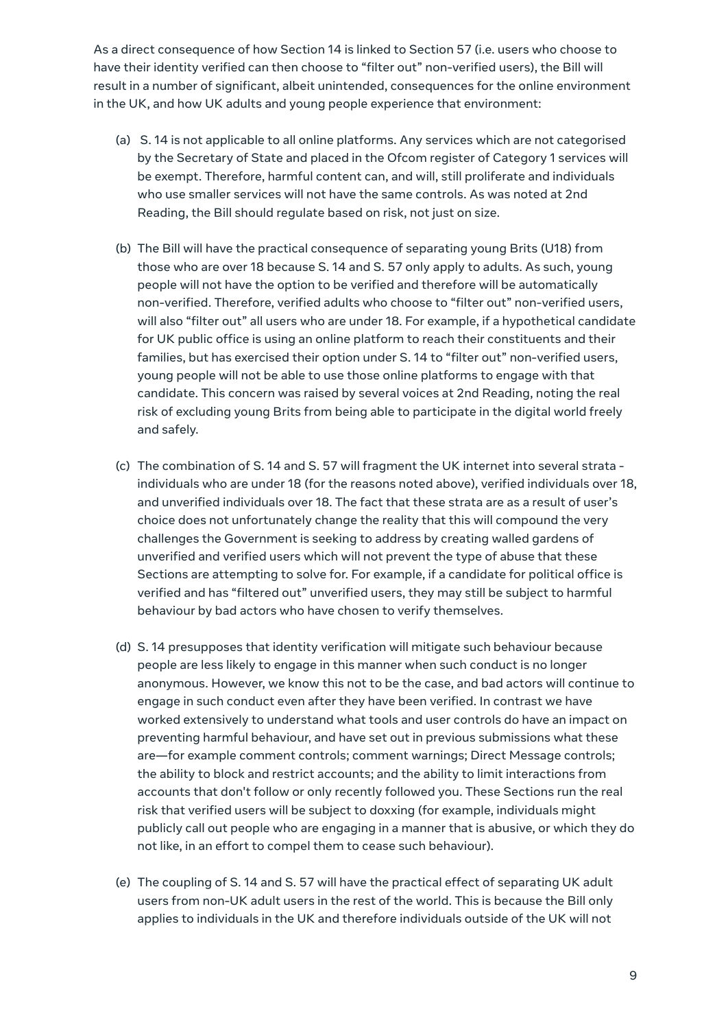As a direct consequence of how Section 14 is linked to Section 57 (i.e. users who choose to have their identity verified can then choose to "filter out" non-verified users), the Bill will result in a number of significant, albeit unintended, consequences for the online environment in the UK, and how UK adults and young people experience that environment:

- (a) S. 14 is not applicable to all online platforms. Any services which are not categorised by the Secretary of State and placed in the Ofcom register of Category 1 services will be exempt. Therefore, harmful content can, and will, still proliferate and individuals who use smaller services will not have the same controls. As was noted at 2nd Reading, the Bill should regulate based on risk, not just on size.
- (b) The Bill will have the practical consequence of separating young Brits (U18) from those who are over 18 because S. 14 and S. 57 only apply to adults. As such, young people will not have the option to be verified and therefore will be automatically non-verified. Therefore, verified adults who choose to "filter out" non-verified users, will also "filter out" all users who are under 18. For example, if a hypothetical candidate for UK public office is using an online platform to reach their constituents and their families, but has exercised their option under S. 14 to "filter out" non-verified users, young people will not be able to use those online platforms to engage with that candidate. This concern was raised by several voices at 2nd Reading, noting the real risk of excluding young Brits from being able to participate in the digital world freely and safely.
- (c) The combination of S. 14 and S. 57 will fragment the UK internet into several strata individuals who are under 18 (for the reasons noted above), verified individuals over 18, and unverified individuals over 18. The fact that these strata are as a result of user's choice does not unfortunately change the reality that this will compound the very challenges the Government is seeking to address by creating walled gardens of unverified and verified users which will not prevent the type of abuse that these Sections are attempting to solve for. For example, if a candidate for political office is verified and has "filtered out" unverified users, they may still be subject to harmful behaviour by bad actors who have chosen to verify themselves.
- (d) S. 14 presupposes that identity verification will mitigate such behaviour because people are less likely to engage in this manner when such conduct is no longer anonymous. However, we know this not to be the case, and bad actors will continue to engage in such conduct even after they have been verified. In contrast we have worked extensively to understand what tools and user controls do have an impact on preventing harmful behaviour, and have set out in previous submissions what these are—for example comment controls; comment warnings; Direct Message controls; the ability to block and restrict accounts; and the ability to limit interactions from accounts that don't follow or only recently followed you. These Sections run the real risk that verified users will be subject to doxxing (for example, individuals might publicly call out people who are engaging in a manner that is abusive, or which they do not like, in an effort to compel them to cease such behaviour).
- (e) The coupling of S. 14 and S. 57 will have the practical effect of separating UK adult users from non-UK adult users in the rest of the world. This is because the Bill only applies to individuals in the UK and therefore individuals outside of the UK will not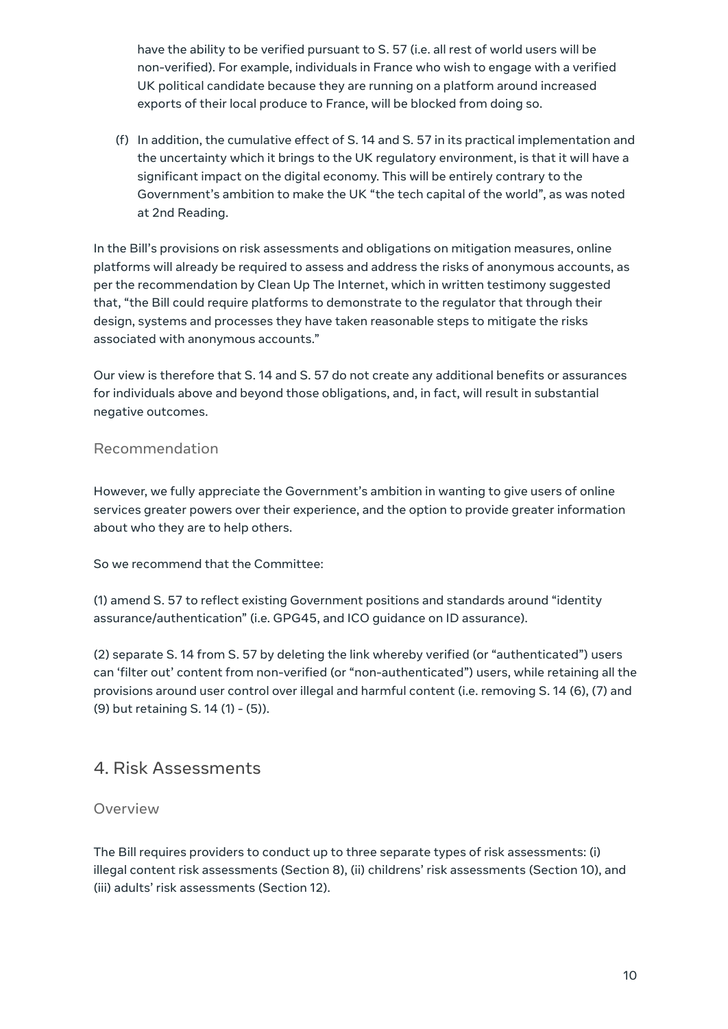have the ability to be verified pursuant to S. 57 (i.e. all rest of world users will be non-verified). For example, individuals in France who wish to engage with a verified UK political candidate because they are running on a platform around increased exports of their local produce to France, will be blocked from doing so.

(f) In addition, the cumulative effect of S. 14 and S. 57 in its practical implementation and the uncertainty which it brings to the UK regulatory environment, is that it will have a significant impact on the digital economy. This will be entirely contrary to the Government's ambition to make the UK "the tech capital of the world", as was noted at 2nd Reading.

In the Bill's provisions on risk assessments and obligations on mitigation measures, online platforms will already be required to assess and address the risks of anonymous accounts, as per the recommendation by Clean Up The Internet, which in written testimony suggested that, "the Bill could require platforms to demonstrate to the regulator that through their design, systems and processes they have taken reasonable steps to mitigate the risks associated with anonymous accounts."

Our view is therefore that S. 14 and S. 57 do not create any additional benefits or assurances for individuals above and beyond those obligations, and, in fact, will result in substantial negative outcomes.

#### Recommendation

However, we fully appreciate the Government's ambition in wanting to give users of online services greater powers over their experience, and the option to provide greater information about who they are to help others.

So we recommend that the Committee:

(1) amend S. 57 to reflect existing Government positions and standards around "identity assurance/authentication" (i.e. GPG45, and ICO guidance on ID assurance).

(2) separate S. 14 from S. 57 by deleting the link whereby verified (or "authenticated") users can 'filter out' content from non-verified (or "non-authenticated") users, while retaining all the provisions around user control over illegal and harmful content (i.e. removing S. 14 (6), (7) and (9) but retaining S. 14 (1) - (5)).

### <span id="page-9-0"></span>4. Risk Assessments

#### Overview

The Bill requires providers to conduct up to three separate types of risk assessments: (i) illegal content risk assessments (Section 8), (ii) childrens' risk assessments (Section 10), and (iii) adults' risk assessments (Section 12).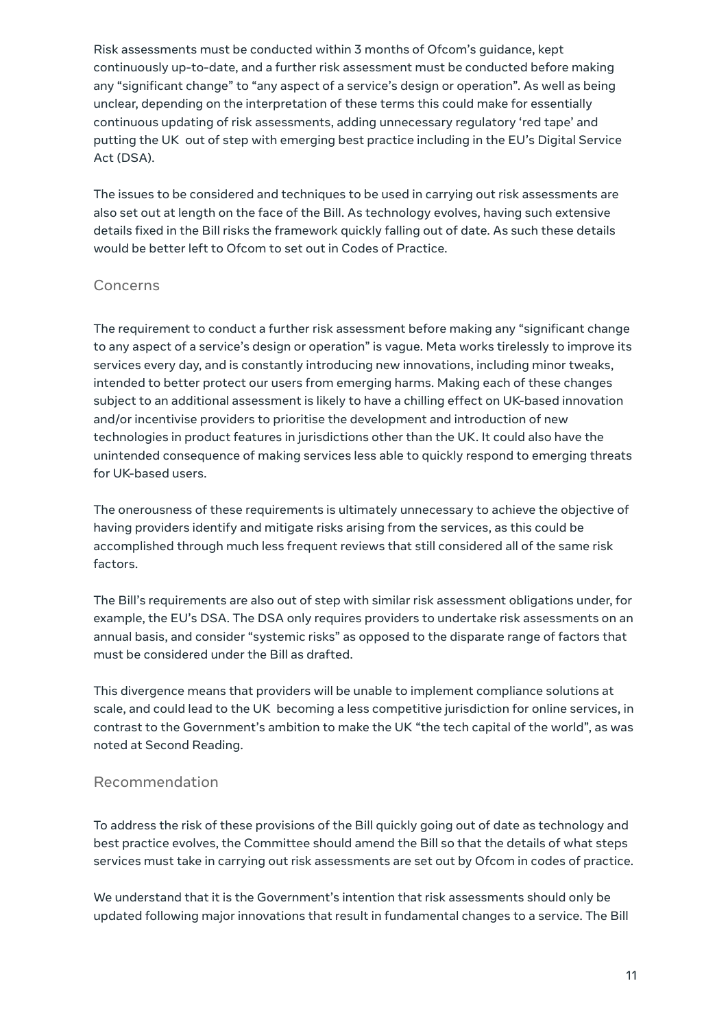Risk assessments must be conducted within 3 months of Ofcom's guidance, kept continuously up-to-date, and a further risk assessment must be conducted before making any "significant change" to "any aspect of a service's design or operation". As well as being unclear, depending on the interpretation of these terms this could make for essentially continuous updating of risk assessments, adding unnecessary regulatory 'red tape' and putting the UK out of step with emerging best practice including in the EU's Digital Service Act (DSA).

The issues to be considered and techniques to be used in carrying out risk assessments are also set out at length on the face of the Bill. As technology evolves, having such extensive details fixed in the Bill risks the framework quickly falling out of date. As such these details would be better left to Ofcom to set out in Codes of Practice.

#### Concerns

The requirement to conduct a further risk assessment before making any "significant change to any aspect of a service's design or operation" is vague. Meta works tirelessly to improve its services every day, and is constantly introducing new innovations, including minor tweaks, intended to better protect our users from emerging harms. Making each of these changes subject to an additional assessment is likely to have a chilling effect on UK-based innovation and/or incentivise providers to prioritise the development and introduction of new technologies in product features in jurisdictions other than the UK. It could also have the unintended consequence of making services less able to quickly respond to emerging threats for UK-based users.

The onerousness of these requirements is ultimately unnecessary to achieve the objective of having providers identify and mitigate risks arising from the services, as this could be accomplished through much less frequent reviews that still considered all of the same risk factors.

The Bill's requirements are also out of step with similar risk assessment obligations under, for example, the EU's DSA. The DSA only requires providers to undertake risk assessments on an annual basis, and consider "systemic risks" as opposed to the disparate range of factors that must be considered under the Bill as drafted.

This divergence means that providers will be unable to implement compliance solutions at scale, and could lead to the UK becoming a less competitive jurisdiction for online services, in contrast to the Government's ambition to make the UK "the tech capital of the world", as was noted at Second Reading.

#### Recommendation

To address the risk of these provisions of the Bill quickly going out of date as technology and best practice evolves, the Committee should amend the Bill so that the details of what steps services must take in carrying out risk assessments are set out by Ofcom in codes of practice.

We understand that it is the Government's intention that risk assessments should only be updated following major innovations that result in fundamental changes to a service. The Bill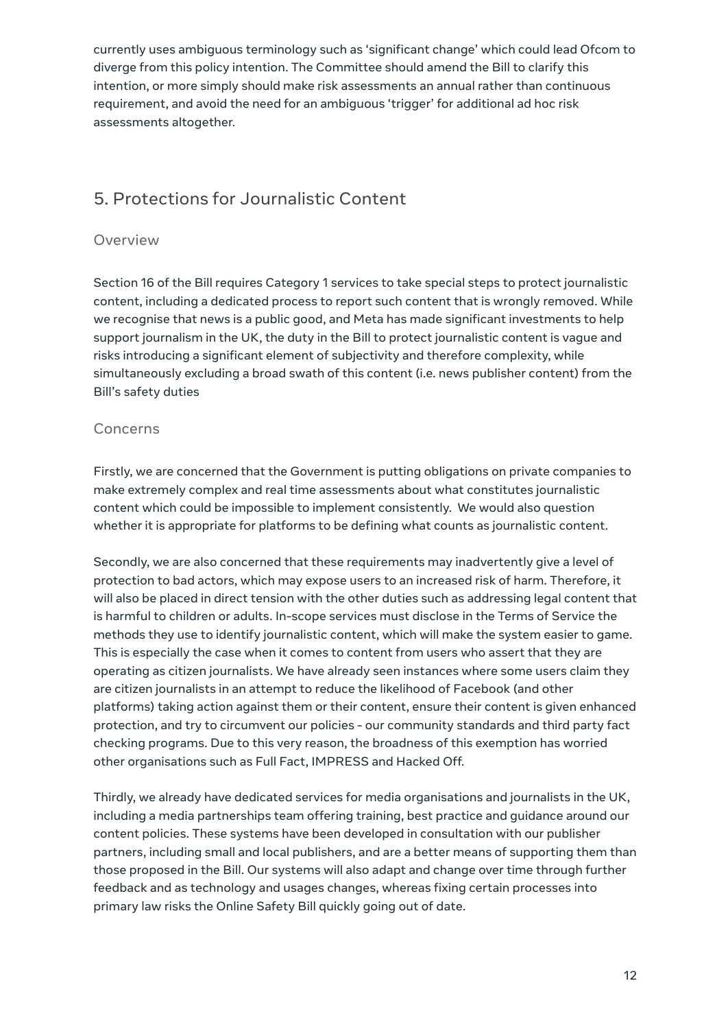currently uses ambiguous terminology such as 'significant change' which could lead Ofcom to diverge from this policy intention. The Committee should amend the Bill to clarify this intention, or more simply should make risk assessments an annual rather than continuous requirement, and avoid the need for an ambiguous 'trigger' for additional ad hoc risk assessments altogether.

# <span id="page-11-0"></span>5. Protections for Journalistic Content

#### Overview

Section 16 of the Bill requires Category 1 services to take special steps to protect journalistic content, including a dedicated process to report such content that is wrongly removed. While we recognise that news is a public good, and Meta has made significant investments to help support journalism in the UK, the duty in the Bill to protect journalistic content is vague and risks introducing a significant element of subjectivity and therefore complexity, while simultaneously excluding a broad swath of this content (i.e. news publisher content) from the Bill's safety duties

#### Concerns

Firstly, we are concerned that the Government is putting obligations on private companies to make extremely complex and real time assessments about what constitutes journalistic content which could be impossible to implement consistently. We would also question whether it is appropriate for platforms to be defining what counts as journalistic content.

Secondly, we are also concerned that these requirements may inadvertently give a level of protection to bad actors, which may expose users to an increased risk of harm. Therefore, it will also be placed in direct tension with the other duties such as addressing legal content that is harmful to children or adults. In-scope services must disclose in the Terms of Service the methods they use to identify journalistic content, which will make the system easier to game. This is especially the case when it comes to content from users who assert that they are operating as citizen journalists. We have already seen instances where some users claim they are citizen journalists in an attempt to reduce the likelihood of Facebook (and other platforms) taking action against them or their content, ensure their content is given enhanced protection, and try to circumvent our policies - our community standards and third party fact checking programs. Due to this very reason, the broadness of this exemption has worried other organisations such as Full Fact, IMPRESS and Hacked Off.

Thirdly, we already have dedicated services for media organisations and journalists in the UK, including a media partnerships team offering training, best practice and guidance around our content policies. These systems have been developed in consultation with our publisher partners, including small and local publishers, and are a better means of supporting them than those proposed in the Bill. Our systems will also adapt and change over time through further feedback and as technology and usages changes, whereas fixing certain processes into primary law risks the Online Safety Bill quickly going out of date.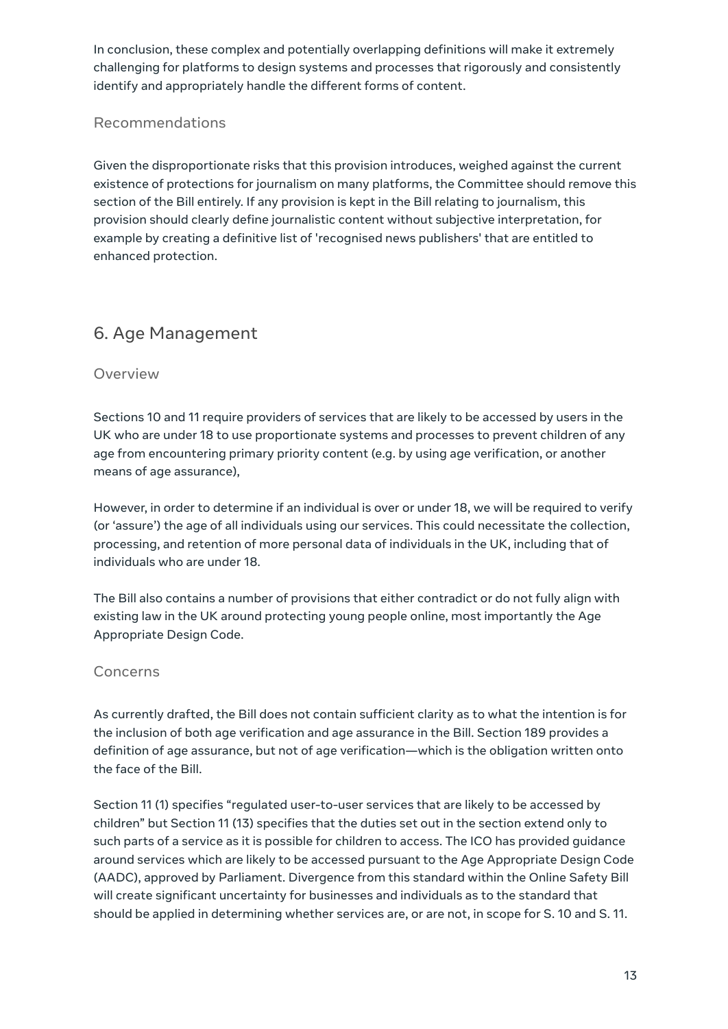In conclusion, these complex and potentially overlapping definitions will make it extremely challenging for platforms to design systems and processes that rigorously and consistently identify and appropriately handle the different forms of content.

#### Recommendations

Given the disproportionate risks that this provision introduces, weighed against the current existence of protections for journalism on many platforms, the Committee should remove this section of the Bill entirely. If any provision is kept in the Bill relating to journalism, this provision should clearly define journalistic content without subjective interpretation, for example by creating a definitive list of 'recognised news publishers' that are entitled to enhanced protection.

# <span id="page-12-0"></span>6. Age Management

#### Overview

Sections 10 and 11 require providers of services that are likely to be accessed by users in the UK who are under 18 to use proportionate systems and processes to prevent children of any age from encountering primary priority content (e.g. by using age verification, or another means of age assurance),

However, in order to determine if an individual is over or under 18, we will be required to verify (or 'assure') the age of all individuals using our services. This could necessitate the collection, processing, and retention of more personal data of individuals in the UK, including that of individuals who are under 18.

The Bill also contains a number of provisions that either contradict or do not fully align with existing law in the UK around protecting young people online, most importantly the Age Appropriate Design Code.

#### Concerns

As currently drafted, the Bill does not contain sufficient clarity as to what the intention is for the inclusion of both age verification and age assurance in the Bill. Section 189 provides a definition of age assurance, but not of age verification—which is the obligation written onto the face of the Bill.

Section 11 (1) specifies "regulated user-to-user services that are likely to be accessed by children" but Section 11 (13) specifies that the duties set out in the section extend only to such parts of a service as it is possible for children to access. The ICO has provided guidance around services which are likely to be accessed pursuant to the Age Appropriate Design Code (AADC), approved by Parliament. Divergence from this standard within the Online Safety Bill will create significant uncertainty for businesses and individuals as to the standard that should be applied in determining whether services are, or are not, in scope for S. 10 and S. 11.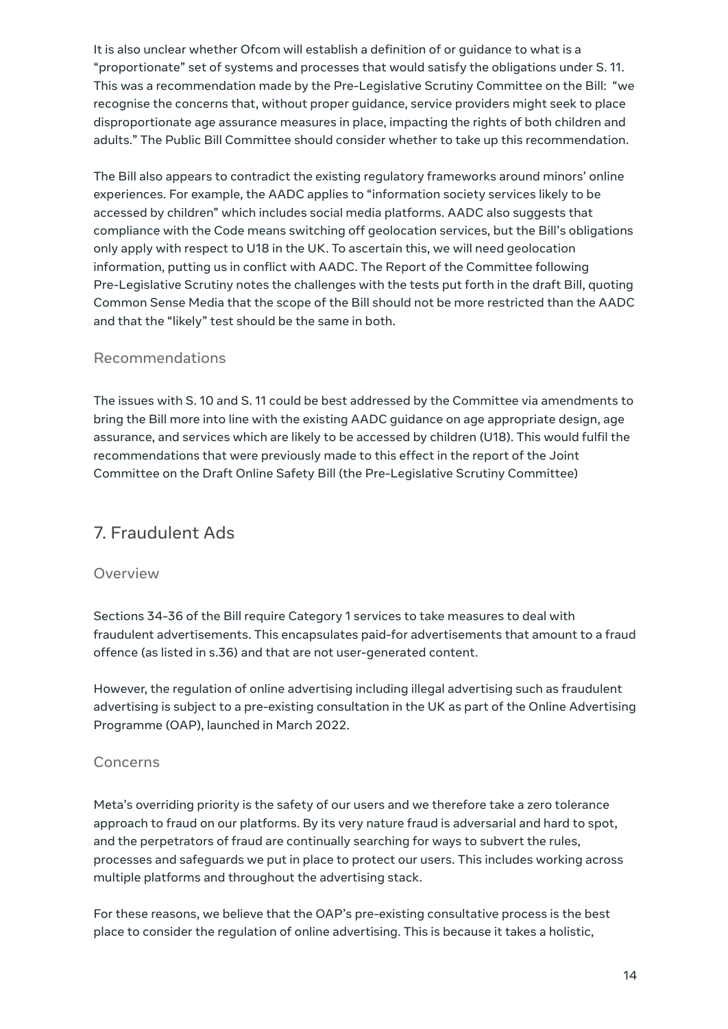It is also unclear whether Ofcom will establish a definition of or guidance to what is a "proportionate" set of systems and processes that would satisfy the obligations under S. 11. This was a recommendation made by the Pre-Legislative Scrutiny Committee on the Bill: "we recognise the concerns that, without proper guidance, service providers might seek to place disproportionate age assurance measures in place, impacting the rights of both children and adults." The Public Bill Committee should consider whether to take up this recommendation.

The Bill also appears to contradict the existing regulatory frameworks around minors' online experiences. For example, the AADC applies to "information society services likely to be accessed by children" which includes social media platforms. AADC also suggests that compliance with the Code means switching off geolocation services, but the Bill's obligations only apply with respect to U18 in the UK. To ascertain this, we will need geolocation information, putting us in conflict with AADC. The Report of the Committee following Pre-Legislative Scrutiny notes the challenges with the tests put forth in the draft Bill, quoting Common Sense Media that the scope of the Bill should not be more restricted than the AADC and that the "likely" test should be the same in both.

#### Recommendations

The issues with S. 10 and S. 11 could be best addressed by the Committee via amendments to bring the Bill more into line with the existing AADC guidance on age appropriate design, age assurance, and services which are likely to be accessed by children (U18). This would fulfil the recommendations that were previously made to this effect in the report of the Joint Committee on the Draft Online Safety Bill (the Pre-Legislative Scrutiny Committee)

## <span id="page-13-0"></span>7. Fraudulent Ads

#### Overview

Sections 34-36 of the Bill require Category 1 services to take measures to deal with fraudulent advertisements. This encapsulates paid-for advertisements that amount to a fraud offence (as listed in s.36) and that are not user-generated content.

However, the regulation of online advertising including illegal advertising such as fraudulent advertising is subject to a pre-existing consultation in the UK as part of the Online Advertising Programme (OAP), launched in March 2022.

#### Concerns

Meta's overriding priority is the safety of our users and we therefore take a zero tolerance approach to fraud on our platforms. By its very nature fraud is adversarial and hard to spot, and the perpetrators of fraud are continually searching for ways to subvert the rules, processes and safeguards we put in place to protect our users. This includes working across multiple platforms and throughout the advertising stack.

For these reasons, we believe that the OAP's pre-existing consultative process is the best place to consider the regulation of online advertising. This is because it takes a holistic,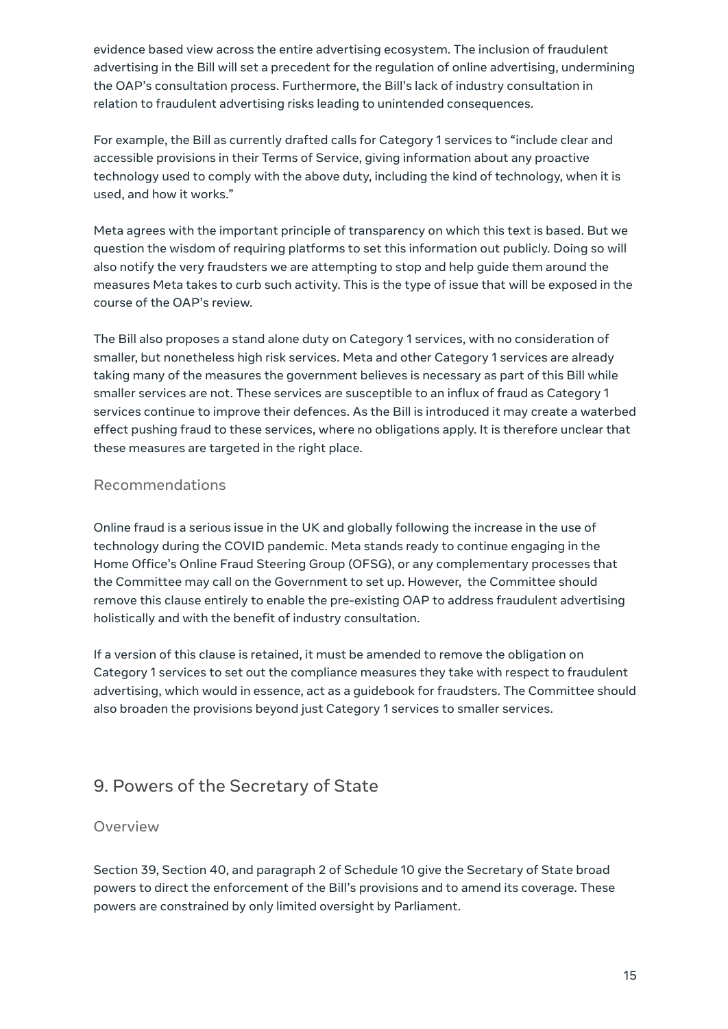evidence based view across the entire advertising ecosystem. The inclusion of fraudulent advertising in the Bill will set a precedent for the regulation of online advertising, undermining the OAP's consultation process. Furthermore, the Bill's lack of industry consultation in relation to fraudulent advertising risks leading to unintended consequences.

For example, the Bill as currently drafted calls for Category 1 services to "include clear and accessible provisions in their Terms of Service, giving information about any proactive technology used to comply with the above duty, including the kind of technology, when it is used, and how it works."

Meta agrees with the important principle of transparency on which this text is based. But we question the wisdom of requiring platforms to set this information out publicly. Doing so will also notify the very fraudsters we are attempting to stop and help guide them around the measures Meta takes to curb such activity. This is the type of issue that will be exposed in the course of the OAP's review.

The Bill also proposes a stand alone duty on Category 1 services, with no consideration of smaller, but nonetheless high risk services. Meta and other Category 1 services are already taking many of the measures the government believes is necessary as part of this Bill while smaller services are not. These services are susceptible to an influx of fraud as Category 1 services continue to improve their defences. As the Bill is introduced it may create a waterbed effect pushing fraud to these services, where no obligations apply. It is therefore unclear that these measures are targeted in the right place.

#### Recommendations

Online fraud is a serious issue in the UK and globally following the increase in the use of technology during the COVID pandemic. Meta stands ready to continue engaging in the Home Office's Online Fraud Steering Group (OFSG), or any complementary processes that the Committee may call on the Government to set up. However, the Committee should remove this clause entirely to enable the pre-existing OAP to address fraudulent advertising holistically and with the benefit of industry consultation.

If a version of this clause is retained, it must be amended to remove the obligation on Category 1 services to set out the compliance measures they take with respect to fraudulent advertising, which would in essence, act as a guidebook for fraudsters. The Committee should also broaden the provisions beyond just Category 1 services to smaller services.

# <span id="page-14-0"></span>9. Powers of the Secretary of State

#### Overview

Section 39, Section 40, and paragraph 2 of Schedule 10 give the Secretary of State broad powers to direct the enforcement of the Bill's provisions and to amend its coverage. These powers are constrained by only limited oversight by Parliament.